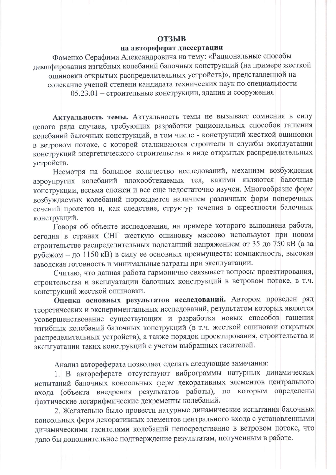## **ОТЗЫВ**

## на автореферат диссертации

Фоменко Серафима Александровича на тему: «Рациональные способы демпфирования изгибных колебаний балочных конструкций (на примере жесткой ошиновки открытых распределительных устройств)», представленной на соискание ученой степени кандидата технических наук по специальности

05.23.01 - строительные конструкции, здания и сооружения

Актуальность темы. Актуальность темы не вызывает сомнения в силу целого ряда случаев, требующих разработки рациональных способов гашения колебаний балочных конструкций, в том числе - конструкций жесткой ошиновки в ветровом потоке, с которой сталкиваются строители и службы эксплуатации конструкций энергетического строительства в виде открытых распределительных устройств.

Несмотря на большое количество исследований, механизм возбуждения аэроупругих колебаний плохообтекаемых тел, какими являются балочные конструкции, весьма сложен и все еще недостаточно изучен. Многообразие форм возбуждаемых колебаний порождается наличием различных форм поперечных сечений пролетов и, как следствие, структур течения в окрестности балочных конструкций.

Говоря об объекте исследования, на примере которого выполнена работа, сегодня в странах СНГ жесткую ошиновку массово используют при новом строительстве распределительных подстанций напряжением от 35 до 750 кВ (а за рубежом - до 1150 кВ) в силу ее основных преимуществ: компактность, высокая заводская готовность и минимальные затраты при эксплуатации.

Считаю, что данная работа гармонично связывает вопросы проектирования, строительства и эксплуатации балочных конструкций в ветровом потоке, в т.ч. конструкций жесткой ошиновки.

Оценка основных результатов исследований. Автором проведен ряд теоретических и экспериментальных исследований, результатом которых является усовершенствование существующих и разработка новых способов гашения изгибных колебаний балочных конструкций (в т.ч. жесткой ошиновки открытых распределительных устройств), а также порядок проектирования, строительства и эксплуатации таких конструкций с учетом выбранных гасителей.

Анализ автореферата позволяет сделать следующие замечания:

1. В автореферате отсутствуют виброграммы натурных динамических испытаний балочных консольных ферм декоративных элементов центрального входа (объекта внедрения результатов работы), по которым определены фактические логарифмические декременты колебаний.

2. Желательно было провести натурные динамические испытания балочных консольных ферм декоративных элементов центрального входа с установленными динамическими гасителями колебаний непосредственно в ветровом потоке, что дало бы дополнительное подтверждение результатам, полученным в работе.